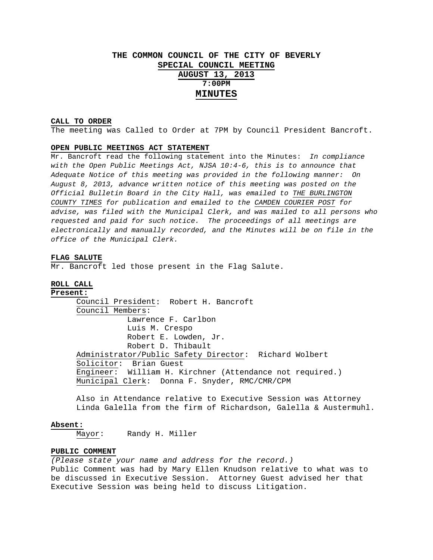## **THE COMMON COUNCIL OF THE CITY OF BEVERLY SPECIAL COUNCIL MEETING**

**AUGUST 13, 2013 7:00PM MINUTES**

### **CALL TO ORDER**

The meeting was Called to Order at 7PM by Council President Bancroft.

#### **OPEN PUBLIC MEETINGS ACT STATEMENT**

Mr. Bancroft read the following statement into the Minutes: *In compliance with the Open Public Meetings Act, NJSA 10:4-6, this is to announce that Adequate Notice of this meeting was provided in the following manner: On August 8, 2013, advance written notice of this meeting was posted on the Official Bulletin Board in the City Hall, was emailed to THE BURLINGTON COUNTY TIMES for publication and emailed to the CAMDEN COURIER POST for advise, was filed with the Municipal Clerk, and was mailed to all persons who requested and paid for such notice. The proceedings of all meetings are electronically and manually recorded, and the Minutes will be on file in the office of the Municipal Clerk.* 

#### **FLAG SALUTE**

Mr. Bancroft led those present in the Flag Salute.

## **ROLL CALL**

**Present:** Council President: Robert H. Bancroft Council Members: Lawrence F. Carlbon Luis M. Crespo Robert E. Lowden, Jr. Robert D. Thibault Administrator/Public Safety Director: Richard Wolbert Solicitor: Brian Guest Engineer: William H. Kirchner (Attendance not required.) Municipal Clerk: Donna F. Snyder, RMC/CMR/CPM

Also in Attendance relative to Executive Session was Attorney Linda Galella from the firm of Richardson, Galella & Austermuhl.

#### **Absent:**

Mayor: Randy H. Miller

### **PUBLIC COMMENT**

*(Please state your name and address for the record.)*  Public Comment was had by Mary Ellen Knudson relative to what was to be discussed in Executive Session. Attorney Guest advised her that Executive Session was being held to discuss Litigation.